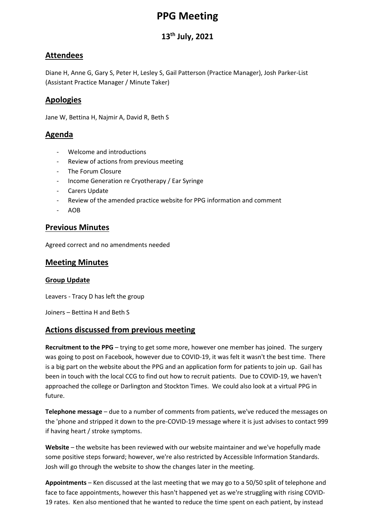# **PPG Meeting**

# **13th July, 2021**

## **Attendees**

Diane H, Anne G, Gary S, Peter H, Lesley S, Gail Patterson (Practice Manager), Josh Parker-List (Assistant Practice Manager / Minute Taker)

## **Apologies**

Jane W, Bettina H, Najmir A, David R, Beth S

## **Agenda**

- Welcome and introductions
- Review of actions from previous meeting
- The Forum Closure
- Income Generation re Cryotherapy / Ear Syringe
- Carers Update
- Review of the amended practice website for PPG information and comment
- AOB

#### **Previous Minutes**

Agreed correct and no amendments needed

#### **Meeting Minutes**

#### **Group Update**

Leavers - Tracy D has left the group

Joiners – Bettina H and Beth S

## **Actions discussed from previous meeting**

**Recruitment to the PPG** – trying to get some more, however one member has joined. The surgery was going to post on Facebook, however due to COVID-19, it was felt it wasn't the best time. There is a big part on the website about the PPG and an application form for patients to join up. Gail has been in touch with the local CCG to find out how to recruit patients. Due to COVID-19, we haven't approached the college or Darlington and Stockton Times. We could also look at a virtual PPG in future.

**Telephone message** – due to a number of comments from patients, we've reduced the messages on the 'phone and stripped it down to the pre-COVID-19 message where it is just advises to contact 999 if having heart / stroke symptoms.

**Website** – the website has been reviewed with our website maintainer and we've hopefully made some positive steps forward; however, we're also restricted by Accessible Information Standards. Josh will go through the website to show the changes later in the meeting.

**Appointments** – Ken discussed at the last meeting that we may go to a 50/50 split of telephone and face to face appointments, however this hasn't happened yet as we're struggling with rising COVID-19 rates. Ken also mentioned that he wanted to reduce the time spent on each patient, by instead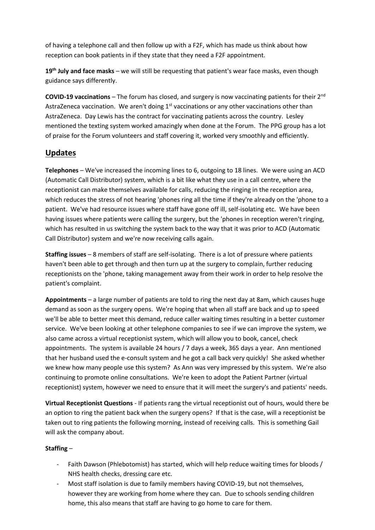of having a telephone call and then follow up with a F2F, which has made us think about how reception can book patients in if they state that they need a F2F appointment.

**19th July and face masks** – we will still be requesting that patient's wear face masks, even though guidance says differently.

**COVID-19 vaccinations** – The forum has closed, and surgery is now vaccinating patients for their 2nd AstraZeneca vaccination. We aren't doing  $1<sup>st</sup>$  vaccinations or any other vaccinations other than AstraZeneca. Day Lewis has the contract for vaccinating patients across the country. Lesley mentioned the texting system worked amazingly when done at the Forum. The PPG group has a lot of praise for the Forum volunteers and staff covering it, worked very smoothly and efficiently.

## **Updates**

**Telephones** – We've increased the incoming lines to 6, outgoing to 18 lines. We were using an ACD (Automatic Call Distributor) system, which is a bit like what they use in a call centre, where the receptionist can make themselves available for calls, reducing the ringing in the reception area, which reduces the stress of not hearing 'phones ring all the time if they're already on the 'phone to a patient. We've had resource issues where staff have gone off ill, self-isolating etc. We have been having issues where patients were calling the surgery, but the 'phones in reception weren't ringing, which has resulted in us switching the system back to the way that it was prior to ACD (Automatic Call Distributor) system and we're now receiving calls again.

**Staffing issues** – 8 members of staff are self-isolating. There is a lot of pressure where patients haven't been able to get through and then turn up at the surgery to complain, further reducing receptionists on the 'phone, taking management away from their work in order to help resolve the patient's complaint.

**Appointments** – a large number of patients are told to ring the next day at 8am, which causes huge demand as soon as the surgery opens. We're hoping that when all staff are back and up to speed we'll be able to better meet this demand, reduce caller waiting times resulting in a better customer service. We've been looking at other telephone companies to see if we can improve the system, we also came across a virtual receptionist system, which will allow you to book, cancel, check appointments. The system is available 24 hours / 7 days a week, 365 days a year. Ann mentioned that her husband used the e-consult system and he got a call back very quickly! She asked whether we knew how many people use this system? As Ann was very impressed by this system. We're also continuing to promote online consultations. We're keen to adopt the Patient Partner (virtual receptionist) system, however we need to ensure that it will meet the surgery's and patients' needs.

**Virtual Receptionist Questions** - If patients rang the virtual receptionist out of hours, would there be an option to ring the patient back when the surgery opens? If that is the case, will a receptionist be taken out to ring patients the following morning, instead of receiving calls. This is something Gail will ask the company about.

#### **Staffing** –

- Faith Dawson (Phlebotomist) has started, which will help reduce waiting times for bloods / NHS health checks, dressing care etc.
- Most staff isolation is due to family members having COVID-19, but not themselves, however they are working from home where they can. Due to schools sending children home, this also means that staff are having to go home to care for them.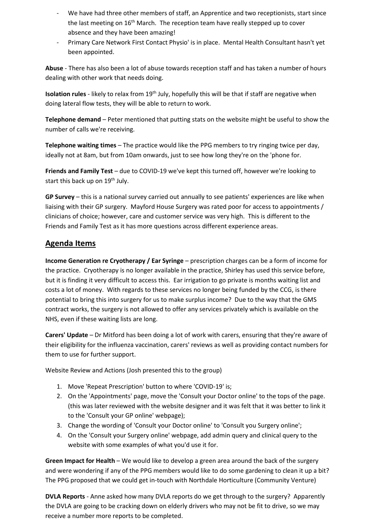- We have had three other members of staff, an Apprentice and two receptionists, start since the last meeting on 16<sup>th</sup> March. The reception team have really stepped up to cover absence and they have been amazing!
- Primary Care Network First Contact Physio' is in place. Mental Health Consultant hasn't yet been appointed.

**Abuse** - There has also been a lot of abuse towards reception staff and has taken a number of hours dealing with other work that needs doing.

**Isolation rules** - likely to relax from 19<sup>th</sup> July, hopefully this will be that if staff are negative when doing lateral flow tests, they will be able to return to work.

**Telephone demand** – Peter mentioned that putting stats on the website might be useful to show the number of calls we're receiving.

**Telephone waiting times** – The practice would like the PPG members to try ringing twice per day, ideally not at 8am, but from 10am onwards, just to see how long they're on the 'phone for.

**Friends and Family Test** – due to COVID-19 we've kept this turned off, however we're looking to start this back up on 19<sup>th</sup> July.

**GP Survey** – this is a national survey carried out annually to see patients' experiences are like when liaising with their GP surgery. Mayford House Surgery was rated poor for access to appointments / clinicians of choice; however, care and customer service was very high. This is different to the Friends and Family Test as it has more questions across different experience areas.

#### **Agenda Items**

**Income Generation re Cryotherapy / Ear Syringe** – prescription charges can be a form of income for the practice. Cryotherapy is no longer available in the practice, Shirley has used this service before, but it is finding it very difficult to access this. Ear irrigation to go private is months waiting list and costs a lot of money. With regards to these services no longer being funded by the CCG, is there potential to bring this into surgery for us to make surplus income? Due to the way that the GMS contract works, the surgery is not allowed to offer any services privately which is available on the NHS, even if these waiting lists are long.

**Carers' Update** – Dr Mitford has been doing a lot of work with carers, ensuring that they're aware of their eligibility for the influenza vaccination, carers' reviews as well as providing contact numbers for them to use for further support.

Website Review and Actions (Josh presented this to the group)

- 1. Move 'Repeat Prescription' button to where 'COVID-19' is;
- 2. On the 'Appointments' page, move the 'Consult your Doctor online' to the tops of the page. (this was later reviewed with the website designer and it was felt that it was better to link it to the 'Consult your GP online' webpage);
- 3. Change the wording of 'Consult your Doctor online' to 'Consult you Surgery online';
- 4. On the 'Consult your Surgery online' webpage, add admin query and clinical query to the website with some examples of what you'd use it for.

**Green Impact for Health** – We would like to develop a green area around the back of the surgery and were wondering if any of the PPG members would like to do some gardening to clean it up a bit? The PPG proposed that we could get in-touch with Northdale Horticulture (Community Venture)

**DVLA Reports** - Anne asked how many DVLA reports do we get through to the surgery? Apparently the DVLA are going to be cracking down on elderly drivers who may not be fit to drive, so we may receive a number more reports to be completed.